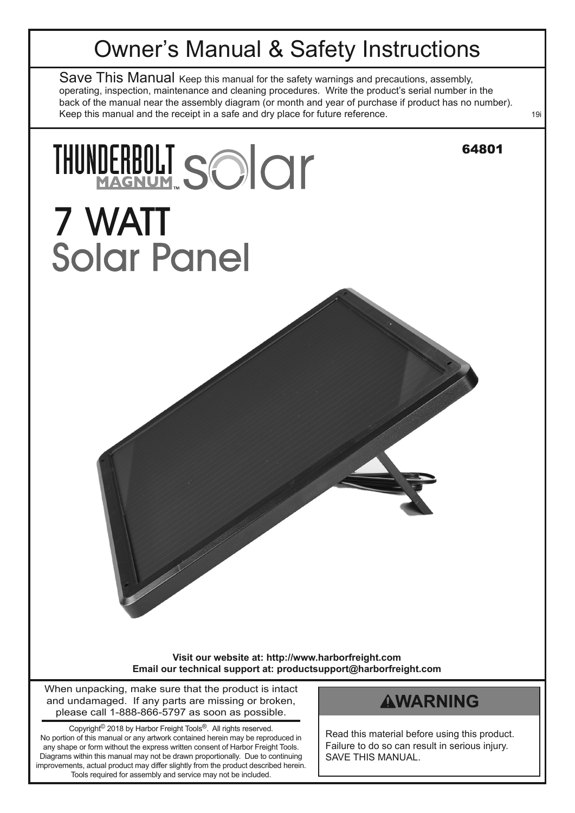# Owner's Manual & Safety Instructions

Save This Manual Keep this manual for the safety warnings and precautions, assembly, operating, inspection, maintenance and cleaning procedures. Write the product's serial number in the back of the manual near the assembly diagram (or month and year of purchase if product has no number). Keep this manual and the receipt in a safe and dry place for future reference. 199

THUNDERBOLT SOICIL

7 WATT

**Solar Panel** 

**Visit our website at: http://www.harborfreight.com email our technical support at: productsupport@harborfreight.com**

When unpacking, make sure that the product is intact and undamaged. If any parts are missing or broken, please call 1-888-866-5797 as soon as possible.

Copyright© 2018 by Harbor Freight Tools®. All rights reserved. No portion of this manual or any artwork contained herein may be reproduced in any shape or form without the express written consent of Harbor Freight Tools. Diagrams within this manual may not be drawn proportionally. Due to continuing improvements, actual product may differ slightly from the product described herein. Tools required for assembly and service may not be included.

# **AWARNING**

64801

Read this material before using this product. Failure to do so can result in serious injury. SAVE THIS MANUAL.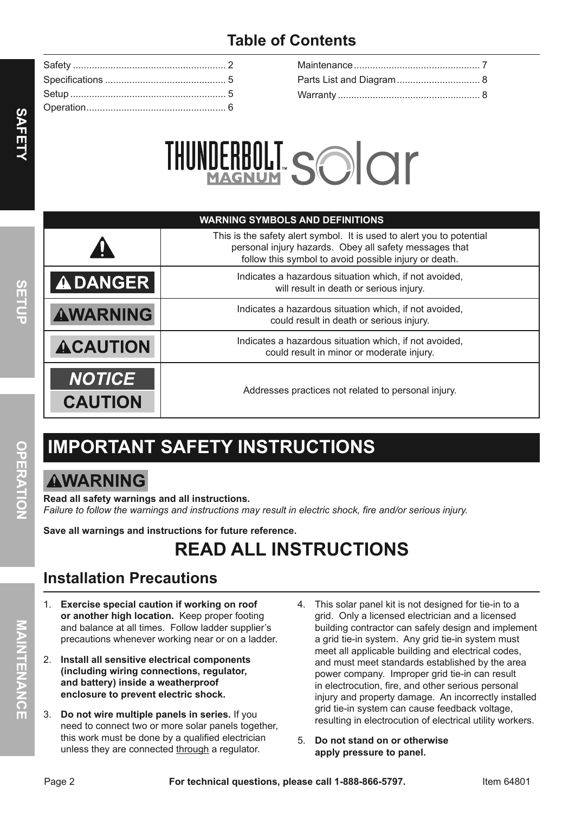# **table of contents**



| <b>WARNING SYMBOLS AND DEFINITIONS</b> |                                                                                                                                                                                          |  |  |  |  |
|----------------------------------------|------------------------------------------------------------------------------------------------------------------------------------------------------------------------------------------|--|--|--|--|
|                                        | This is the safety alert symbol. It is used to alert you to potential<br>personal injury hazards. Obey all safety messages that<br>follow this symbol to avoid possible injury or death. |  |  |  |  |
| <b>ADANGER</b>                         | Indicates a hazardous situation which, if not avoided,<br>will result in death or serious injury.                                                                                        |  |  |  |  |
| <b>AWARNING</b>                        | Indicates a hazardous situation which, if not avoided,<br>could result in death or serious injury.                                                                                       |  |  |  |  |
| <b>ACAUTION</b>                        | Indicates a hazardous situation which, if not avoided,<br>could result in minor or moderate injury.                                                                                      |  |  |  |  |
| <b>NOTICE</b><br><b>CAUTION</b>        | Addresses practices not related to personal injury.                                                                                                                                      |  |  |  |  |

# **iMpOrtant SaFety inStructiOnS**

# **AWARNING**

**read all safety warnings and all instructions.**  *Failure to follow the warnings and instructions may result in electric shock, fire and/or serious injury.*

**Save all warnings and instructions for future reference.**

# **reaD aLL inStructiOnS**

# **installation precautions**

- 1. **exercise special caution if working on roof or another high location.** Keep proper footing and balance at all times. Follow ladder supplier's precautions whenever working near or on a ladder.
- 2. **install all sensitive electrical components (including wiring connections, regulator, and battery) inside a weatherproof enclosure to prevent electric shock.**
- 3. **Do not wire multiple panels in series.** If you need to connect two or more solar panels together, this work must be done by a qualified electrician unless they are connected through a regulator.
- 4. This solar panel kit is not designed for tie-in to a grid. Only a licensed electrician and a licensed building contractor can safely design and implement a grid tie-in system. Any grid tie-in system must meet all applicable building and electrical codes, and must meet standards established by the area power company. Improper grid tie-in can result in electrocution, fire, and other serious personal injury and property damage. An incorrectly installed grid tie-in system can cause feedback voltage, resulting in electrocution of electrical utility workers.
- 5. **Do not stand on or otherwise apply pressure to panel.**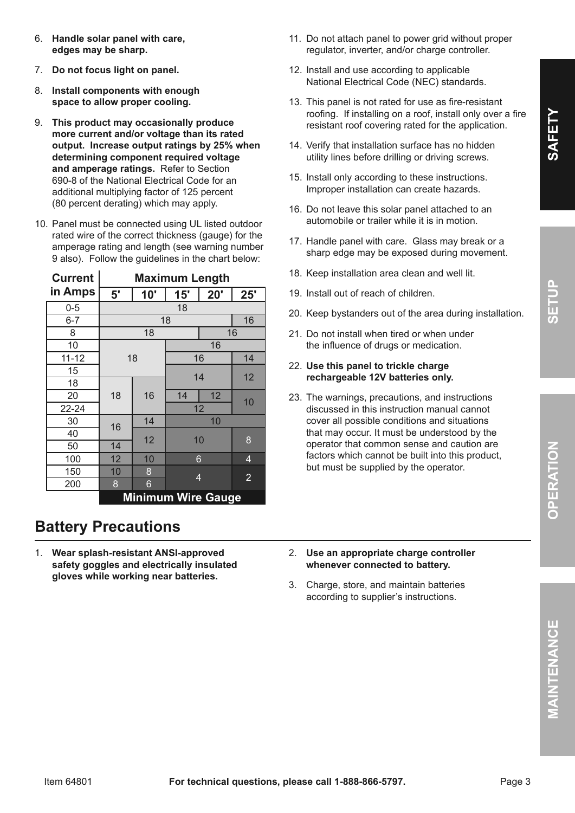MAINTENANCE

- 6. **Handle solar panel with care, edges may be sharp.**
- 7. **Do not focus light on panel.**
- 8. **install components with enough space to allow proper cooling.**
- 9. **this product may occasionally produce more current and/or voltage than its rated output. increase output ratings by 25% when determining component required voltage and amperage ratings.** Refer to Section 690-8 of the National Electrical Code for an additional multiplying factor of 125 percent (80 percent derating) which may apply.
- 10. Panel must be connected using UL listed outdoor rated wire of the correct thickness (gauge) for the amperage rating and length (see warning number 9 also). Follow the guidelines in the chart below:

| <b>Current</b> | <b>Maximum Length</b> |     |                           |                |                |  |
|----------------|-----------------------|-----|---------------------------|----------------|----------------|--|
| in Amps        | 5'                    | 10" | 15'                       | 20'            | 25'            |  |
| $0 - 5$        | 18                    |     |                           |                |                |  |
| $6 - 7$        | 18<br>16              |     |                           |                |                |  |
| 8              | 18<br>16              |     |                           |                |                |  |
| 10             | 18                    |     |                           | 16             |                |  |
| $11 - 12$      |                       |     |                           | 16             | 14             |  |
| 15             |                       |     |                           |                | 12             |  |
| 18             |                       |     | 14                        |                |                |  |
| 20             | 18                    | 16  | 14                        | 12             | 10             |  |
| $22 - 24$      |                       |     | 12                        |                |                |  |
| 30             | 14<br>16              |     |                           | 10             |                |  |
| 40             |                       | 12  | 10                        |                | 8              |  |
| 50             | 14                    |     |                           |                |                |  |
| 100            | 12                    | 10  |                           | 6              | $\overline{4}$ |  |
| 150            | 10                    | 8   |                           | $\overline{4}$ | $\overline{2}$ |  |
| 200            | 8                     | 6   |                           |                |                |  |
|                |                       |     | <b>Minimum Wire Gauge</b> |                |                |  |

# **Battery precautions**

1. **Wear splash-resistant anSi-approved safety goggles and electrically insulated gloves while working near batteries.**

- 11. Do not attach panel to power grid without proper regulator, inverter, and/or charge controller.
- 12. Install and use according to applicable National Electrical Code (NEC) standards.
- 13. This panel is not rated for use as fire-resistant roofing. If installing on a roof, install only over a fire resistant roof covering rated for the application.
- 14. Verify that installation surface has no hidden utility lines before drilling or driving screws.
- 15. Install only according to these instructions. Improper installation can create hazards.
- 16. Do not leave this solar panel attached to an automobile or trailer while it is in motion.
- 17. Handle panel with care. Glass may break or a sharp edge may be exposed during movement.
- 18. Keep installation area clean and well lit.
- 19. Install out of reach of children.
- 20. Keep bystanders out of the area during installation.
- 21. Do not install when tired or when under the influence of drugs or medication.

#### 22. **use this panel to trickle charge rechargeable 12V batteries only.**

- 23. The warnings, precautions, and instructions discussed in this instruction manual cannot cover all possible conditions and situations that may occur. It must be understood by the operator that common sense and caution are factors which cannot be built into this product, but must be supplied by the operator.
- 2. **use an appropriate charge controller whenever connected to battery.**
- 3. Charge, store, and maintain batteries according to supplier's instructions.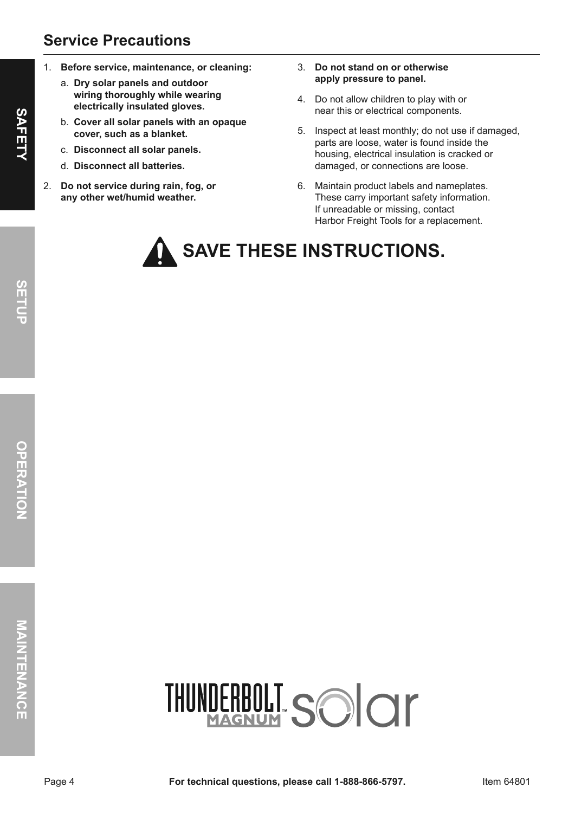## **Service precautions**

- 1. **Before service, maintenance, or cleaning:**
	- a. **Dry solar panels and outdoor wiring thoroughly while wearing electrically insulated gloves.**
	- b. **cover all solar panels with an opaque cover, such as a blanket.**
	- c. **Disconnect all solar panels.**
	- d. **Disconnect all batteries.**
- 2. **Do not service during rain, fog, or any other wet/humid weather.**
- 3. **Do not stand on or otherwise apply pressure to panel.**
- 4. Do not allow children to play with or near this or electrical components.
- 5. Inspect at least monthly; do not use if damaged, parts are loose, water is found inside the housing, electrical insulation is cracked or damaged, or connections are loose.
- 6. Maintain product labels and nameplates. These carry important safety information. If unreadable or missing, contact Harbor Freight Tools for a replacement.

# **SaVe tHeSe inStructiOnS.**

**Sa**

**Fety**

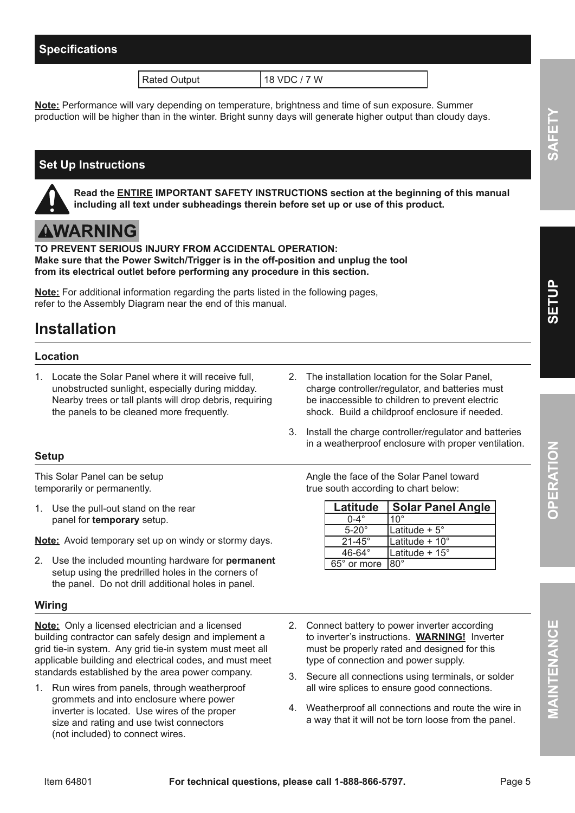### **Specifications**

Rated Output 18 VDC / 7 W

**note:** Performance will vary depending on temperature, brightness and time of sun exposure. Summer production will be higher than in the winter. Bright sunny days will generate higher output than cloudy days.

### **Set Up Instructions**

**read the entire iMpOrtant SaFety inStructiOnS section at the beginning of this manual including all text under subheadings therein before set up or use of this product.**

# **AWARNING**

**tO preVent SeriOuS inJury FrOM acciDentaL OperatiOn: Make sure that the power Switch/trigger is in the off-position and unplug the tool from its electrical outlet before performing any procedure in this section.**

**note:** For additional information regarding the parts listed in the following pages, refer to the Assembly Diagram near the end of this manual.

## **installation**

#### **Location**

- 1. Locate the Solar Panel where it will receive full, unobstructed sunlight, especially during midday. Nearby trees or tall plants will drop debris, requiring the panels to be cleaned more frequently.
- 2. The installation location for the Solar Panel, charge controller/regulator, and batteries must be inaccessible to children to prevent electric shock. Build a childproof enclosure if needed.
- 3. Install the charge controller/regulator and batteries in a weatherproof enclosure with proper ventilation.

#### **Setup**

This Solar Panel can be setup temporarily or permanently.

1. Use the pull-out stand on the rear panel for **temporary** setup.

**Note:** Avoid temporary set up on windy or stormy days.

2. Use the included mounting hardware for **permanent** setup using the predrilled holes in the corners of the panel. Do not drill additional holes in panel.

#### **Wiring**

**Note:** Only a licensed electrician and a licensed building contractor can safely design and implement a grid tie-in system. Any grid tie-in system must meet all applicable building and electrical codes, and must meet standards established by the area power company.

1. Run wires from panels, through weatherproof grommets and into enclosure where power inverter is located. Use wires of the proper size and rating and use twist connectors (not included) to connect wires.

Angle the face of the Solar Panel toward true south according to chart below:

| Latitude          | <b>Solar Panel Angle</b> |
|-------------------|--------------------------|
| $0-4^\circ$       | $10^{\circ}$             |
| $5-20^\circ$      | Latitude + 5°            |
| $21 - 45^{\circ}$ | Latitude + 10°           |
| $46-64^\circ$     | Latitude + $15^\circ$    |
| 65° or more       | $\overline{80^\circ}$    |

- 2. Connect battery to power inverter according to inverter's instructions. **WarninG!** Inverter must be properly rated and designed for this type of connection and power supply.
- 3. Secure all connections using terminals, or solder all wire splices to ensure good connections.
- 4. Weatherproof all connections and route the wire in a way that it will not be torn loose from the panel.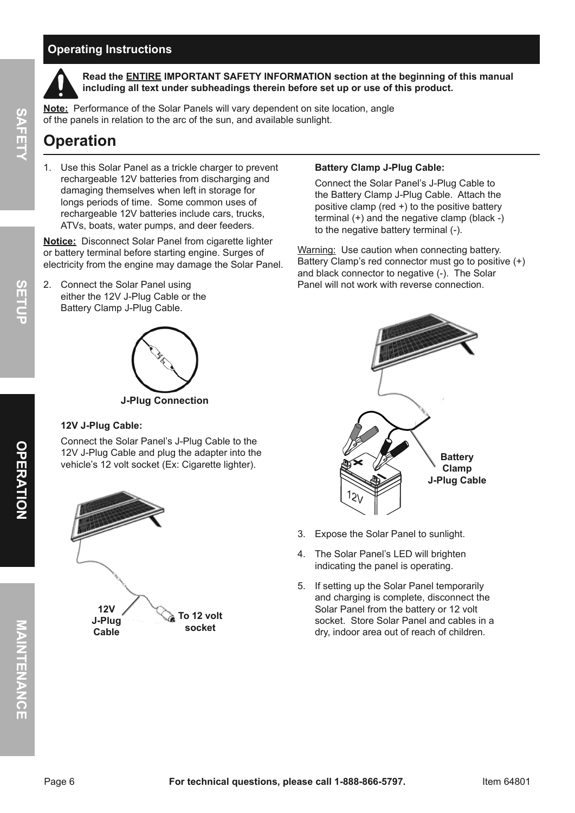### **Operating instructions**



**Sa**

**Fety**

**read the entire iMpOrtant SaFety inFOrMatiOn section at the beginning of this manual including all text under subheadings therein before set up or use of this product.**

**note:** Performance of the Solar Panels will vary dependent on site location, angle of the panels in relation to the arc of the sun, and available sunlight.

## **Operation**

1. Use this Solar Panel as a trickle charger to prevent rechargeable 12V batteries from discharging and damaging themselves when left in storage for longs periods of time. Some common uses of rechargeable 12V batteries include cars, trucks, ATVs, boats, water pumps, and deer feeders.

**Notice:** Disconnect Solar Panel from cigarette lighter or battery terminal before starting engine. Surges of electricity from the engine may damage the Solar Panel.

2. Connect the Solar Panel using either the 12V J-Plug Cable or the Battery Clamp J-Plug Cable.



**J-plug connection**

#### **12V J-plug cable:**

Connect the Solar Panel's J-Plug Cable to the 12V J-Plug Cable and plug the adapter into the vehicle's 12 volt socket (Ex: Cigarette lighter).



#### **Battery clamp J-plug cable:**

Connect the Solar Panel's J-Plug Cable to the Battery Clamp J-Plug Cable. Attach the positive clamp (red +) to the positive battery terminal (+) and the negative clamp (black -) to the negative battery terminal (-).

Warning: Use caution when connecting battery. Battery Clamp's red connector must go to positive (+) and black connector to negative (-). The Solar Panel will not work with reverse connection.



- 3. Expose the Solar Panel to sunlight.
- 4. The Solar Panel's LED will brighten indicating the panel is operating.
- 5. If setting up the Solar Panel temporarily and charging is complete, disconnect the Solar Panel from the battery or 12 volt socket. Store Solar Panel and cables in a dry, indoor area out of reach of children.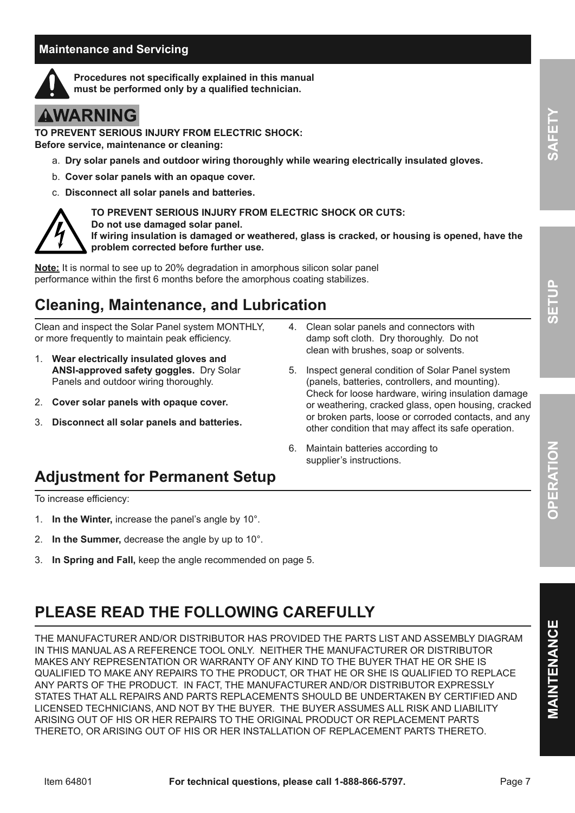### **Maintenance and Servicing**



**procedures not specifically explained in this manual must be performed only by a qualified technician.**

# **AWARNING**

**tO preVent SeriOuS inJury FrOM eLectric SHOcK: Before service, maintenance or cleaning:**

- a. **Dry solar panels and outdoor wiring thoroughly while wearing electrically insulated gloves.**
- b. **cover solar panels with an opaque cover.**
- c. **Disconnect all solar panels and batteries.**



**tO preVent SeriOuS inJury FrOM eLectric SHOcK Or cutS:** 

**Do not use damaged solar panel.** 

**if wiring insulation is damaged or weathered, glass is cracked, or housing is opened, have the problem corrected before further use.**

**note:** It is normal to see up to 20% degradation in amorphous silicon solar panel performance within the first 6 months before the amorphous coating stabilizes.

# **cleaning, Maintenance, and Lubrication**

Clean and inspect the Solar Panel system MONTHLY, or more frequently to maintain peak efficiency.

- 1. **Wear electrically insulated gloves and anSi-approved safety goggles.** Dry Solar Panels and outdoor wiring thoroughly.
- 2. **cover solar panels with opaque cover.**
- 3. **Disconnect all solar panels and batteries.**
- 4. Clean solar panels and connectors with damp soft cloth. Dry thoroughly. Do not clean with brushes, soap or solvents.
- 5. Inspect general condition of Solar Panel system (panels, batteries, controllers, and mounting). Check for loose hardware, wiring insulation damage or weathering, cracked glass, open housing, cracked or broken parts, loose or corroded contacts, and any other condition that may affect its safe operation.
- 6. Maintain batteries according to supplier's instructions.

# **adjustment for permanent Setup**

To increase efficiency:

- 1. **in the Winter,** increase the panel's angle by 10°.
- 2. **in the Summer,** decrease the angle by up to 10°.
- 3. **in Spring and Fall,** keep the angle recommended on page 5.

# **pLeaSe reaD tHe FOLLOWinG careFuLLy**

THE MANUFACTURER AND/OR DISTRIBUTOR HAS PROVIDED THE PARTS LIST AND ASSEMBLY DIAGRAM IN THIS MANUAL AS A REFERENCE TOOL ONLY. NEITHER THE MANUFACTURER OR DISTRIBUTOR MAKES ANY REPRESENTATION OR WARRANTY OF ANY KIND TO THE BUYER THAT HE OR SHE IS QUALIFIED TO MAKE ANY REPAIRS TO THE PRODUCT, OR THAT HE OR SHE IS QUALIFIED TO REPLACE ANY PARTS OF THE PRODUCT. IN FACT, THE MANUFACTURER AND/OR DISTRIBUTOR EXPRESSLY STATES THAT ALL REPAIRS AND PARTS REPLACEMENTS SHOULD BE UNDERTAKEN BY CERTIFIED AND LICENSED TECHNICIANS, AND NOT BY THE BUYER. THE BUYER ASSUMES ALL RISK AND LIABILITY ARISING OUT OF HIS OR HER REPAIRS TO THE ORIGINAL PRODUCT OR REPLACEMENT PARTS THERETO, OR ARISING OUT OF HIS OR HER INSTALLATION OF REPLACEMENT PARTS THERETO.